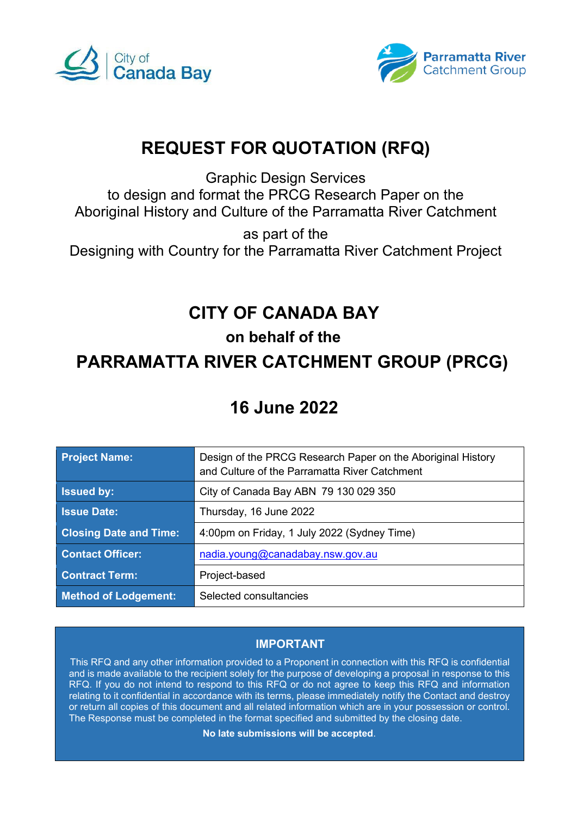



# **REQUEST FOR QUOTATION (RFQ)**

Graphic Design Services

to design and format the PRCG Research Paper on the Aboriginal History and Culture of the Parramatta River Catchment

as part of the Designing with Country for the Parramatta River Catchment Project

# **CITY OF CANADA BAY**

# **on behalf of the**

# **PARRAMATTA RIVER CATCHMENT GROUP (PRCG)**

# **16 June 2022**

| <b>Project Name:</b>          | Design of the PRCG Research Paper on the Aboriginal History<br>and Culture of the Parramatta River Catchment |
|-------------------------------|--------------------------------------------------------------------------------------------------------------|
| <b>Issued by:</b>             | City of Canada Bay ABN 79 130 029 350                                                                        |
| <b>Issue Date:</b>            | Thursday, 16 June 2022                                                                                       |
| <b>Closing Date and Time:</b> | 4:00pm on Friday, 1 July 2022 (Sydney Time)                                                                  |
| <b>Contact Officer:</b>       | nadia.young@canadabay.nsw.gov.au                                                                             |
| <b>Contract Term:</b>         | Project-based                                                                                                |
| <b>Method of Lodgement:</b>   | Selected consultancies                                                                                       |

# **IMPORTANT**

This RFQ and any other information provided to a Proponent in connection with this RFQ is confidential and is made available to the recipient solely for the purpose of developing a proposal in response to this RFQ. If you do not intend to respond to this RFQ or do not agree to keep this RFQ and information relating to it confidential in accordance with its terms, please immediately notify the Contact and destroy or return all copies of this document and all related information which are in your possession or control. The Response must be completed in the format specified and submitted by the closing date.

**No late submissions will be accepted**.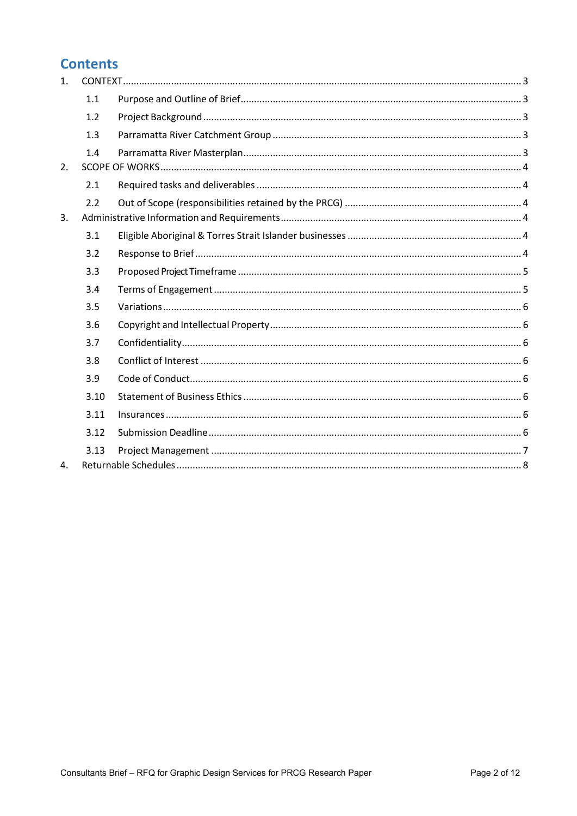# **Contents**

| $\mathbf{1}$ . |      |  |
|----------------|------|--|
|                | 1.1  |  |
|                | 1.2  |  |
|                | 1.3  |  |
|                | 1.4  |  |
| 2.             |      |  |
|                | 2.1  |  |
|                | 2.2  |  |
| 3.             |      |  |
|                | 3.1  |  |
|                | 3.2  |  |
|                | 3.3  |  |
|                | 3.4  |  |
|                | 3.5  |  |
|                | 3.6  |  |
|                | 3.7  |  |
|                | 3.8  |  |
|                | 3.9  |  |
|                | 3.10 |  |
|                | 3.11 |  |
|                | 3.12 |  |
|                | 3.13 |  |
| 4.             |      |  |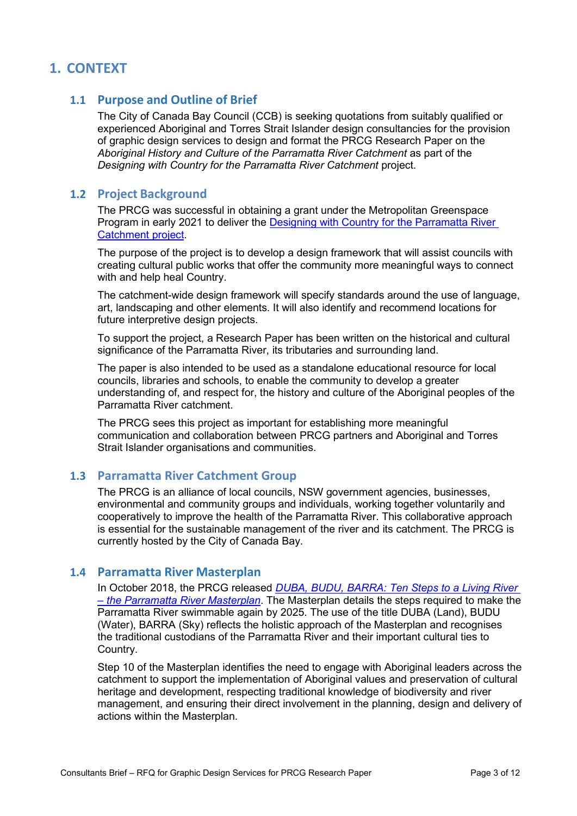# <span id="page-2-0"></span>**1. CONTEXT**

## <span id="page-2-1"></span>**1.1 Purpose and Outline of Brief**

The City of Canada Bay Council (CCB) is seeking quotations from suitably qualified or experienced Aboriginal and Torres Strait Islander design consultancies for the provision of graphic design services to design and format the PRCG Research Paper on the *Aboriginal History and Culture of the Parramatta River Catchment* as part of the *Designing with Country for the Parramatta River Catchment* project.

## <span id="page-2-2"></span>**1.2 Project Background**

The PRCG was successful in obtaining a grant under the Metropolitan Greenspace Program in early 2021 to deliver the Designing with Country [for the Parramatta River](https://www.ourlivingriver.com.au/our-plan/current-projects/)  [Catchment](https://www.ourlivingriver.com.au/our-plan/current-projects/) project.

The purpose of the project is to develop a design framework that will assist councils with creating cultural public works that offer the community more meaningful ways to connect with and help heal Country.

The catchment-wide design framework will specify standards around the use of language, art, landscaping and other elements. It will also identify and recommend locations for future interpretive design projects.

To support the project, a Research Paper has been written on the historical and cultural significance of the Parramatta River, its tributaries and surrounding land.

The paper is also intended to be used as a standalone educational resource for local councils, libraries and schools, to enable the community to develop a greater understanding of, and respect for, the history and culture of the Aboriginal peoples of the Parramatta River catchment.

The PRCG sees this project as important for establishing more meaningful communication and collaboration between PRCG partners and Aboriginal and Torres Strait Islander organisations and communities.

## <span id="page-2-3"></span>**1.3 Parramatta River Catchment Group**

The PRCG is an alliance of local councils, NSW government agencies, businesses, environmental and community groups and individuals, working together voluntarily and cooperatively to improve the health of the Parramatta River. This collaborative approach is essential for the sustainable management of the river and its catchment. The PRCG is currently hosted by the City of Canada Bay.

## <span id="page-2-4"></span>**1.4 Parramatta River Masterplan**

In October 2018, the PRCG released **DUBA, BUDU, BARRA: Ten Steps to a Living River** *[– the Parramatta River Masterplan](http://www.ourlivingriver.com.au/content/uploads/2019/04/Parramatta-River-Masterplan_lores_spreads.pdf)*. The Masterplan details the steps required to make the Parramatta River swimmable again by 2025. The use of the title DUBA (Land), BUDU (Water), BARRA (Sky) reflects the holistic approach of the Masterplan and recognises the traditional custodians of the Parramatta River and their important cultural ties to Country.

Step 10 of the Masterplan identifies the need to engage with Aboriginal leaders across the catchment to support the implementation of Aboriginal values and preservation of cultural heritage and development, respecting traditional knowledge of biodiversity and river management, and ensuring their direct involvement in the planning, design and delivery of actions within the Masterplan.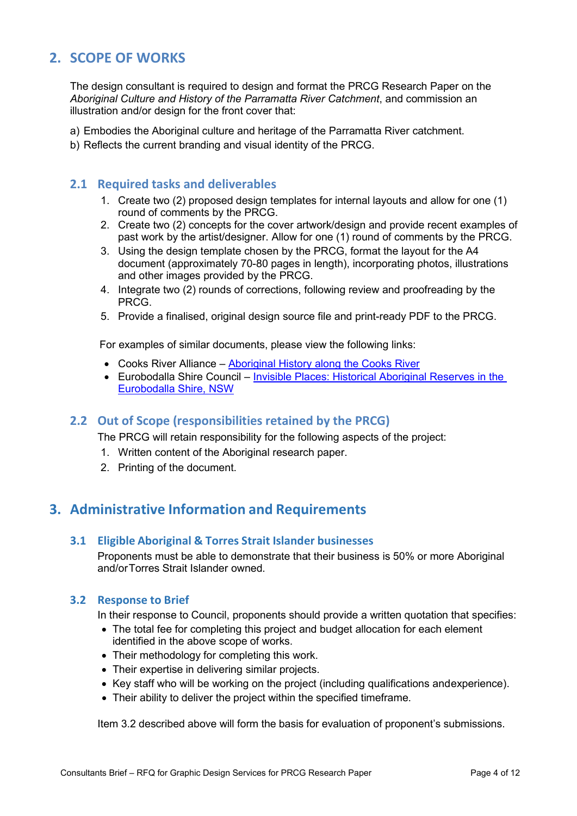# <span id="page-3-0"></span>**2. SCOPE OF WORKS**

The design consultant is required to design and format the PRCG Research Paper on the *Aboriginal Culture and History of the Parramatta River Catchment*, and commission an illustration and/or design for the front cover that:

a) Embodies the Aboriginal culture and heritage of the Parramatta River catchment.

b) Reflects the current branding and visual identity of the PRCG.

### <span id="page-3-1"></span>**2.1 Required tasks and deliverables**

- 1. Create two (2) proposed design templates for internal layouts and allow for one (1) round of comments by the PRCG.
- 2. Create two (2) concepts for the cover artwork/design and provide recent examples of past work by the artist/designer. Allow for one (1) round of comments by the PRCG.
- 3. Using the design template chosen by the PRCG, format the layout for the A4 document (approximately 70-80 pages in length), incorporating photos, illustrations and other images provided by the PRCG.
- 4. Integrate two (2) rounds of corrections, following review and proofreading by the PRCG.
- 5. Provide a finalised, original design source file and print-ready PDF to the PRCG.

For examples of similar documents, please view the following links:

- Cooks River Alliance – [Aboriginal History along the Cooks River](https://cooksriver.org.au/how-to-report-a-problem-on-the-cooks-river/aboriginal-history-along-the-cooks-river-book-1/)
- Eurobodalla Shire Council Invisible Places: Historical Aboriginal Reserves in the [Eurobodalla Shire, NSW](https://www.esc.nsw.gov.au/__data/assets/pdf_file/0007/138904/Invisible-Places-booklet.pdf)

## <span id="page-3-2"></span>**2.2 Out of Scope (responsibilities retained by the PRCG)**

The PRCG will retain responsibility for the following aspects of the project:

- 1. Written content of the Aboriginal research paper.
- 2. Printing of the document.

# <span id="page-3-3"></span>**3. Administrative Information and Requirements**

#### <span id="page-3-4"></span>**3.1 Eligible Aboriginal & Torres Strait Islander businesses**

Proponents must be able to demonstrate that their business is 50% or more Aboriginal and/or Torres Strait Islander owned.

#### <span id="page-3-5"></span>**3.2 Response to Brief**

In their response to Council, proponents should provide a written quotation that specifies:

- The total fee for completing this project and budget allocation for each element identified in the above scope of works.
- Their methodology for completing this work.
- Their expertise in delivering similar projects.
- Key staff who will be working on the project (including qualifications and experience).
- Their ability to deliver the project within the specified timeframe.

Item 3.2 described above will form the basis for evaluation of proponent's submissions.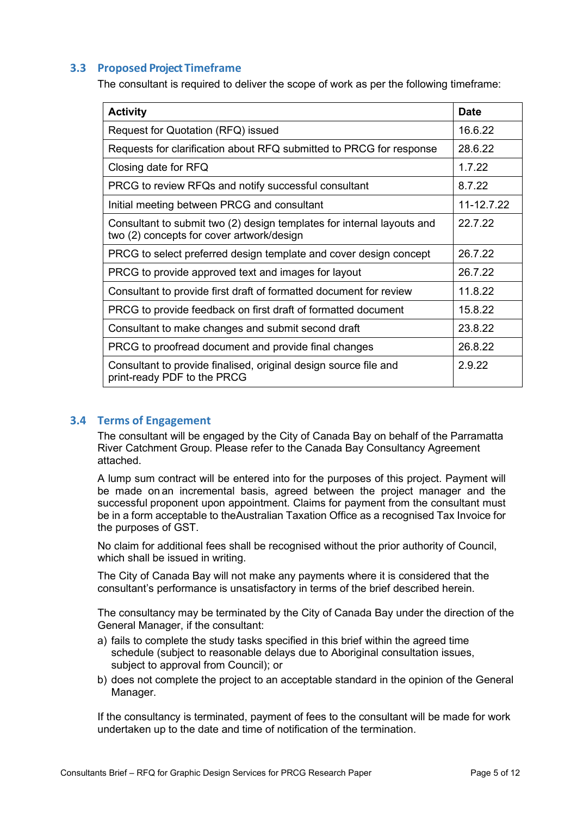### <span id="page-4-0"></span>**3.3 Proposed Project Timeframe**

The consultant is required to deliver the scope of work as per the following timeframe:

| <b>Activity</b>                                                                                                     | <b>Date</b> |
|---------------------------------------------------------------------------------------------------------------------|-------------|
| Request for Quotation (RFQ) issued                                                                                  | 16.6.22     |
| Requests for clarification about RFQ submitted to PRCG for response                                                 | 28.6.22     |
| Closing date for RFQ                                                                                                | 1.7.22      |
| PRCG to review RFQs and notify successful consultant                                                                | 8.7.22      |
| Initial meeting between PRCG and consultant                                                                         | 11-12.7.22  |
| Consultant to submit two (2) design templates for internal layouts and<br>two (2) concepts for cover artwork/design | 22.7.22     |
| PRCG to select preferred design template and cover design concept                                                   | 26.7.22     |
| PRCG to provide approved text and images for layout                                                                 | 26.7.22     |
| Consultant to provide first draft of formatted document for review                                                  | 11.8.22     |
| PRCG to provide feedback on first draft of formatted document                                                       | 15.8.22     |
| Consultant to make changes and submit second draft                                                                  | 23.8.22     |
| PRCG to proofread document and provide final changes                                                                | 26.8.22     |
| Consultant to provide finalised, original design source file and<br>print-ready PDF to the PRCG                     | 2.9.22      |

#### <span id="page-4-1"></span>**3.4 Terms of Engagement**

The consultant will be engaged by the City of Canada Bay on behalf of the Parramatta River Catchment Group. Please refer to the Canada Bay Consultancy Agreement attached.

A lump sum contract will be entered into for the purposes of this project. Payment will be made on an incremental basis, agreed between the project manager and the successful proponent upon appointment. Claims for payment from the consultant must be in a form acceptable to theAustralian Taxation Office as a recognised Tax Invoice for the purposes of GST.

No claim for additional fees shall be recognised without the prior authority of Council, which shall be issued in writing.

The City of Canada Bay will not make any payments where it is considered that the consultant's performance is unsatisfactory in terms of the brief described herein.

The consultancy may be terminated by the City of Canada Bay under the direction of the General Manager, if the consultant:

- a) fails to complete the study tasks specified in this brief within the agreed time schedule (subject to reasonable delays due to Aboriginal consultation issues, subject to approval from Council); or
- b) does not complete the project to an acceptable standard in the opinion of the General Manager.

If the consultancy is terminated, payment of fees to the consultant will be made for work undertaken up to the date and time of notification of the termination.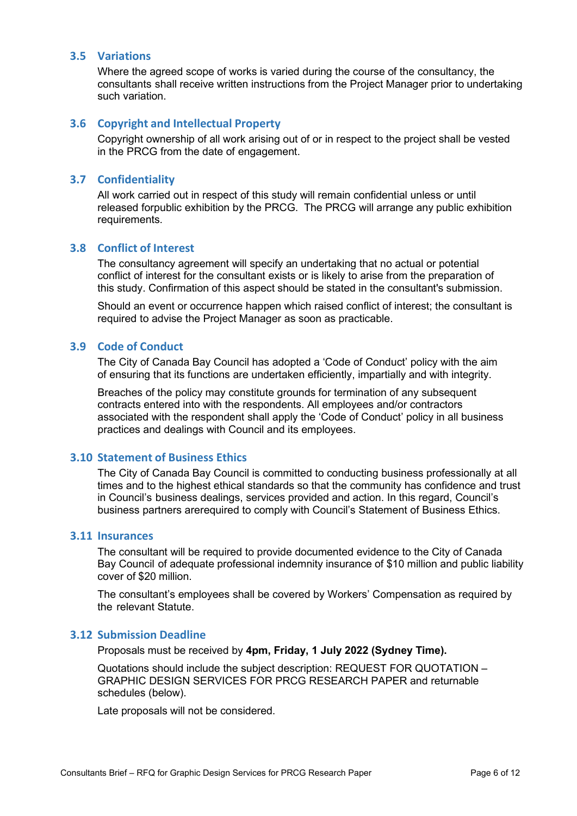#### <span id="page-5-0"></span>**3.5 Variations**

Where the agreed scope of works is varied during the course of the consultancy, the consultants shall receive written instructions from the Project Manager prior to undertaking such variation.

#### <span id="page-5-1"></span>**3.6 Copyright and Intellectual Property**

Copyright ownership of all work arising out of or in respect to the project shall be vested in the PRCG from the date of engagement.

#### <span id="page-5-2"></span>**3.7 Confidentiality**

All work carried out in respect of this study will remain confidential unless or until released forpublic exhibition by the PRCG. The PRCG will arrange any public exhibition requirements.

#### <span id="page-5-3"></span>**3.8 Conflict of Interest**

The consultancy agreement will specify an undertaking that no actual or potential conflict of interest for the consultant exists or is likely to arise from the preparation of this study. Confirmation of this aspect should be stated in the consultant's submission.

Should an event or occurrence happen which raised conflict of interest; the consultant is required to advise the Project Manager as soon as practicable.

#### <span id="page-5-4"></span>**3.9 Code of Conduct**

The City of Canada Bay Council has adopted a 'Code of Conduct' policy with the aim of ensuring that its functions are undertaken efficiently, impartially and with integrity.

Breaches of the policy may constitute grounds for termination of any subsequent contracts entered into with the respondents. All employees and/or contractors associated with the respondent shall apply the 'Code of Conduct' policy in all business practices and dealings with Council and its employees.

#### <span id="page-5-5"></span>**3.10 Statement of Business Ethics**

The City of Canada Bay Council is committed to conducting business professionally at all times and to the highest ethical standards so that the community has confidence and trust in Council's business dealings, services provided and action. In this regard, Council's business partners arerequired to comply with Council's Statement of Business Ethics.

#### <span id="page-5-6"></span>**3.11 Insurances**

The consultant will be required to provide documented evidence to the City of Canada Bay Council of adequate professional indemnity insurance of \$10 million and public liability cover of \$20 million.

The consultant's employees shall be covered by Workers' Compensation as required by the relevant Statute.

#### <span id="page-5-7"></span>**3.12 Submission Deadline**

Proposals must be received by **4pm, Friday, 1 July 2022 (Sydney Time).**

Quotations should include the subject description: REQUEST FOR QUOTATION – GRAPHIC DESIGN SERVICES FOR PRCG RESEARCH PAPER and returnable schedules (below).

Late proposals will not be considered.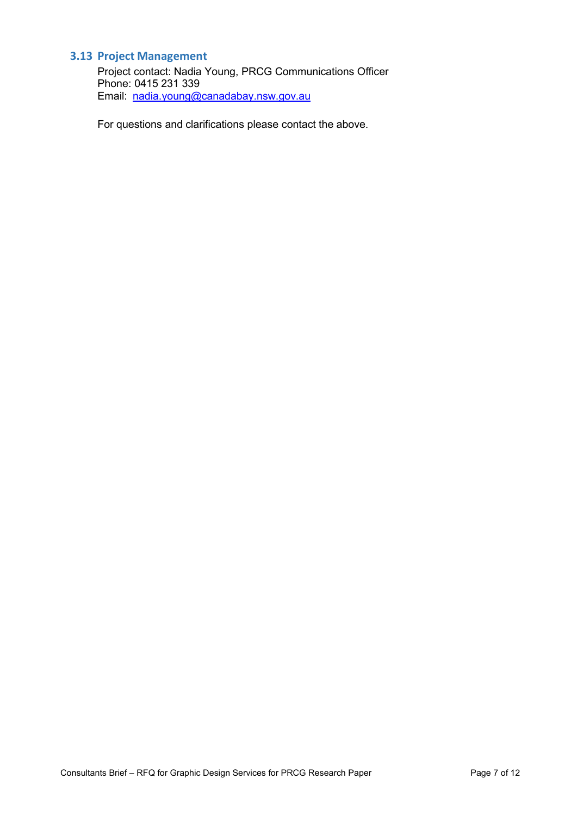# <span id="page-6-0"></span>**3.13 Project Management**

Project contact: Nadia Young, PRCG Communications Officer Phone: 0415 231 339 Email: nadia.young@canadabay.nsw.gov.au

For questions and clarifications please contact the above.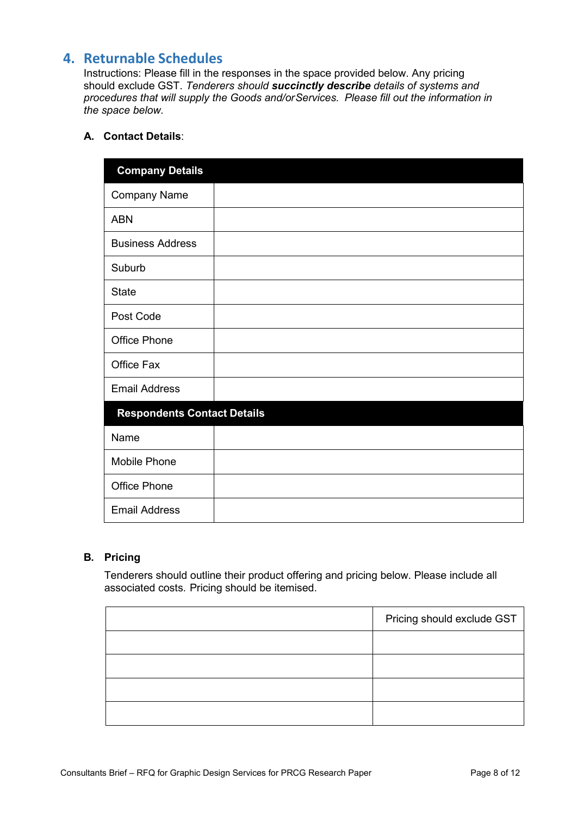# <span id="page-7-0"></span>**4. Returnable Schedules**

Instructions: Please fill in the responses in the space provided below. Any pricing should exclude GST. *Tenderers should succinctly describe details of systems and procedures that will supply the Goods and/or Services. Please fill out the information in the space below.*

## **A. Contact Details**:

| <b>Company Details</b>             |  |
|------------------------------------|--|
| <b>Company Name</b>                |  |
| <b>ABN</b>                         |  |
| <b>Business Address</b>            |  |
| Suburb                             |  |
| <b>State</b>                       |  |
| Post Code                          |  |
| <b>Office Phone</b>                |  |
| Office Fax                         |  |
| <b>Email Address</b>               |  |
| <b>Respondents Contact Details</b> |  |
| Name                               |  |
| Mobile Phone                       |  |
| <b>Office Phone</b>                |  |
| <b>Email Address</b>               |  |

### **B. Pricing**

Tenderers should outline their product offering and pricing below. Please include all associated costs. Pricing should be itemised.

| Pricing should exclude GST |
|----------------------------|
|                            |
|                            |
|                            |
|                            |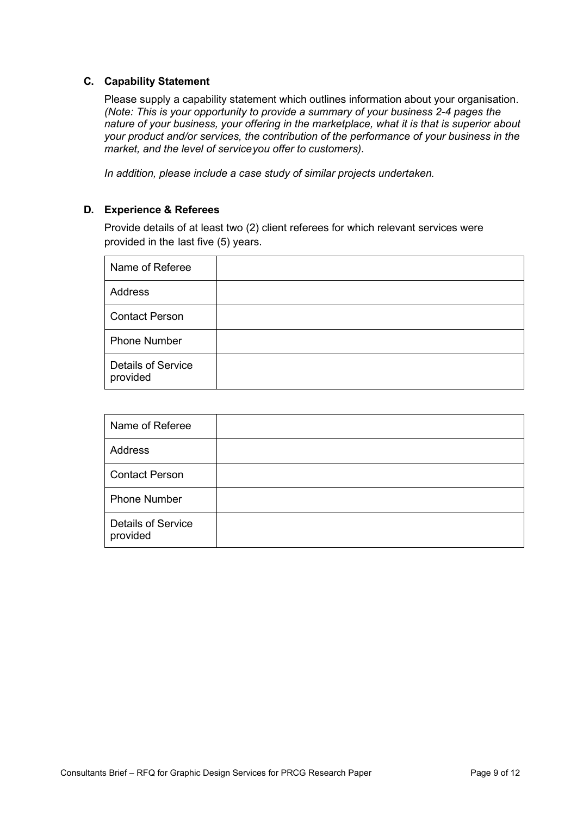#### **C. Capability Statement**

Please supply a capability statement which outlines information about your organisation. *(Note: This is your opportunity to provide a summary of your business 2-4 pages the nature of your business, your offering in the marketplace, what it is that is superior about your product and/or services, the contribution of the performance of your business in the market, and the level of serviceyou offer to customers).*

*In addition, please include a case study of similar projects undertaken.*

#### **D. Experience & Referees**

Provide details of at least two (2) client referees for which relevant services were provided in the last five (5) years.

| Name of Referee                       |  |
|---------------------------------------|--|
| <b>Address</b>                        |  |
| <b>Contact Person</b>                 |  |
| <b>Phone Number</b>                   |  |
| <b>Details of Service</b><br>provided |  |

| Name of Referee                       |  |
|---------------------------------------|--|
| Address                               |  |
| <b>Contact Person</b>                 |  |
| <b>Phone Number</b>                   |  |
| <b>Details of Service</b><br>provided |  |